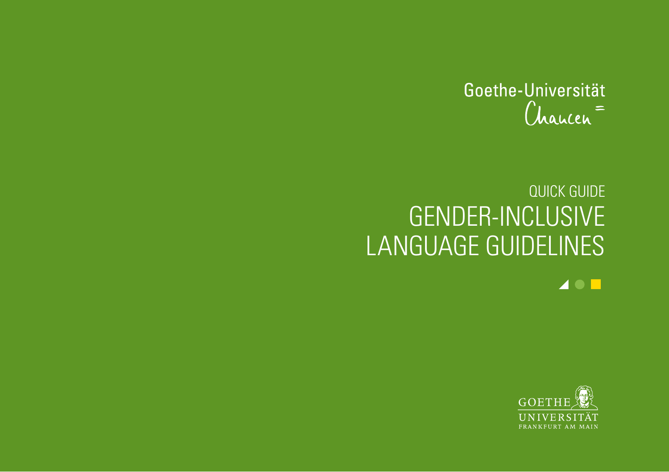

# QUICK GUIDE GENDER-INCLUSIVE LANGUAGE GUIDELINES

 $\blacktriangle$  0  $\blacksquare$ 

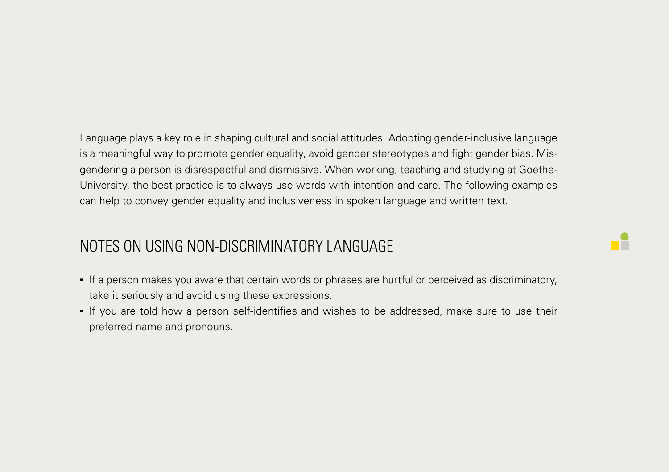Language plays a key role in shaping cultural and social attitudes. Adopting gender-inclusive language is a meaningful way to promote gender equality, avoid gender stereotypes and fight gender bias. Misgendering a person is disrespectful and dismissive. When working, teaching and studying at Goethe-University, the best practice is to always use words with intention and care. The following examples can help to convey gender equality and inclusiveness in spoken language and written text.

### NOTES ON USING NON-DISCRIMINATORY LANGUAGE

▪ If a person makes you aware that certain words or phrases are hurtful or perceived as discriminatory, take it seriously and avoid using these expressions.

T

▪ If you are told how a person self-identifies and wishes to be addressed, make sure to use their preferred name and pronouns.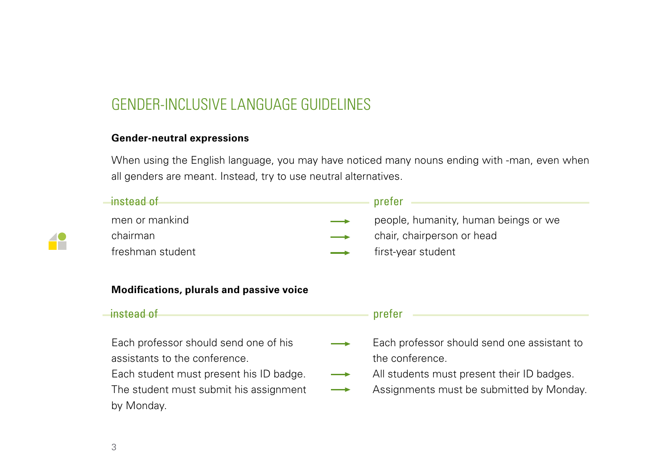### GENDER-INCLUSIVE LANGUAGE GUIDELINES

#### **Gender-neutral expressions**

When using the English language, you may have noticed many nouns ending with -man, even when all genders are meant. Instead, try to use neutral alternatives.

| $\rightarrow$ instead of                                                                                          | prefer                                                                                    |
|-------------------------------------------------------------------------------------------------------------------|-------------------------------------------------------------------------------------------|
| men or mankind                                                                                                    | people, humanity, human beings or we                                                      |
| chairman                                                                                                          | chair, chairperson or head                                                                |
| freshman student                                                                                                  | first-year student                                                                        |
|                                                                                                                   |                                                                                           |
|                                                                                                                   |                                                                                           |
| <b>Modifications, plurals and passive voice</b><br>$\rightarrow$ instead of                                       | prefer                                                                                    |
|                                                                                                                   |                                                                                           |
|                                                                                                                   | the conference.                                                                           |
| Each professor should send one of his<br>assistants to the conference.<br>Each student must present his ID badge. | Each professor should send one assistant to<br>All students must present their ID badges. |
| The student must submit his assignment                                                                            | Assignments must be submitted by Monday.                                                  |

42

3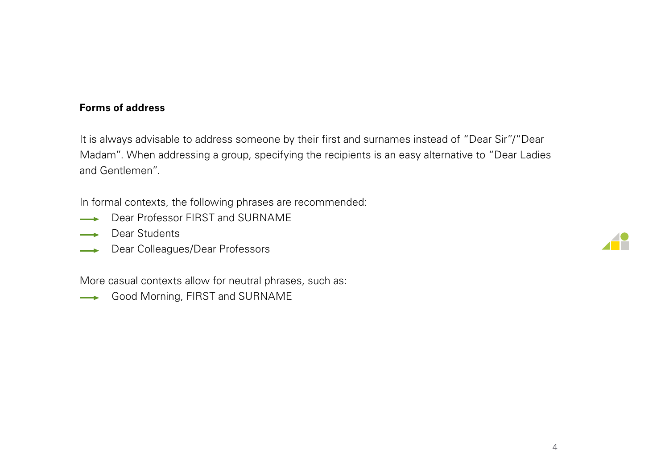#### **Forms of address**

It is always advisable to address someone by their first and surnames instead of "Dear Sir"/"Dear Madam". When addressing a group, specifying the recipients is an easy alternative to "Dear Ladies and Gentlemen".

In formal contexts, the following phrases are recommended:

- Dear Professor FIRST and SURNAME
- **Dear Students**
- Dear Colleagues/Dear Professors

More casual contexts allow for neutral phrases, such as:

Good Morning, FIRST and SURNAME

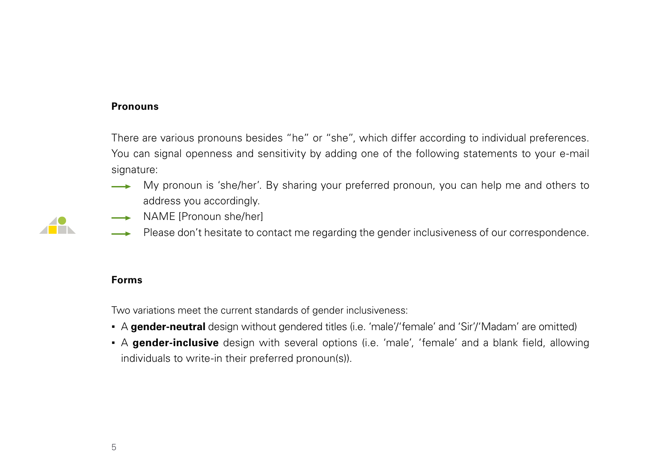#### **Pronouns**

There are various pronouns besides "he" or "she", which differ according to individual preferences. You can signal openness and sensitivity by adding one of the following statements to your e-mail signature:

- My pronoun is 'she/her'. By sharing your preferred pronoun, you can help me and others to address you accordingly.
- NAME [Pronoun she/her]
- Please don't hesitate to contact me regarding the gender inclusiveness of our correspondence.

#### **Forms**

Two variations meet the current standards of gender inclusiveness:

- A **gender-neutral** design without gendered titles (i.e. 'male'/'female' and 'Sir'/'Madam' are omitted)
- A **gender-inclusive** design with several options (i.e. 'male', 'female' and a blank field, allowing individuals to write-in their preferred pronoun(s)).

**ALL BEE**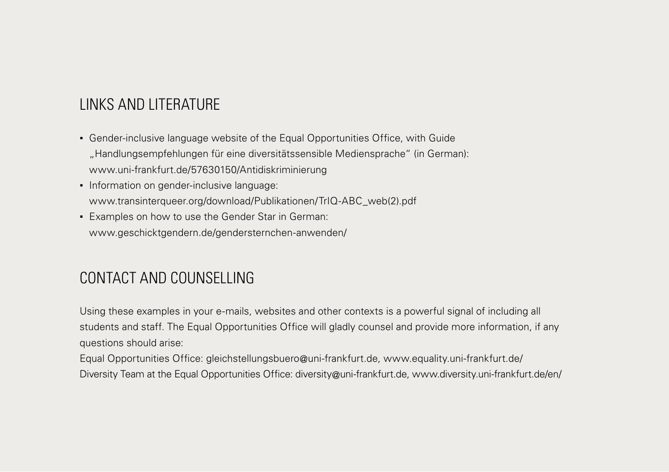# LINKS AND LITERATURE

- Gender-inclusive language website of the Equal Opportunities Office, with Guide "Handlungsempfehlungen für eine diversitätssensible Mediensprache" (in German): [www.uni-frankfurt.de/57630150/Antidiskriminierung](http://www.uni-frankfurt.de/57630150/Antidiskriminierung)
- **Information on gender-inclusive language:** [www.transinterqueer.org/download/Publikationen/TrIQ-ABC\\_web\(2\).pdf](http://www.transinterqueer.org/download/Publikationen/TrIQ-ABC_web(2).pdf)
- **Examples on how to use the Gender Star in German:** [www.geschicktgendern.de/gendersternchen-anwenden/](http://www.geschicktgendern.de/gendersternchen-anwenden/)

# CONTACT AND COUNSELLING

Using these examples in your e-mails, websites and other contexts is a powerful signal of including all students and staff. The Equal Opportunities Office will gladly counsel and provide more information, if any questions should arise:

Equal Opportunities Office: [gleichstellungsbuero@uni-frankfurt.de](mailto:gleichstellungsbuero@uni-frankfurt.de), [www.equality.uni-frankfurt.de/](http://www.equality.uni-frankfurt.de/) Diversity Team at the Equal Opportunities Office: [diversity@uni-frankfurt.de,](mailto:diversity@uni-frankfurt.de) [www.diversity.uni-frankfurt.de/en/](http://www.diversity.uni-frankfurt.de/en/)